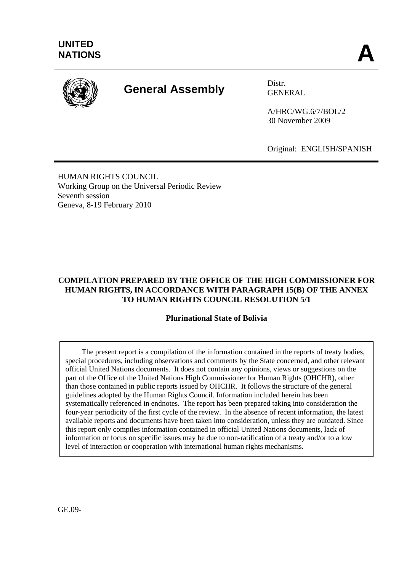

# **General Assembly** Distr.

GENERAL

A/HRC/WG.6/7/BOL/2 30 November 2009

Original: ENGLISH/SPANISH

HUMAN RIGHTS COUNCIL Working Group on the Universal Periodic Review Seventh session Geneva, 8-19 February 2010

## **COMPILATION PREPARED BY THE OFFICE OF THE HIGH COMMISSIONER FOR HUMAN RIGHTS, IN ACCORDANCE WITH PARAGRAPH 15(B) OF THE ANNEX TO HUMAN RIGHTS COUNCIL RESOLUTION 5/1**

## **Plurinational State of Bolivia**

 The present report is a compilation of the information contained in the reports of treaty bodies, special procedures, including observations and comments by the State concerned, and other relevant official United Nations documents. It does not contain any opinions, views or suggestions on the part of the Office of the United Nations High Commissioner for Human Rights (OHCHR), other than those contained in public reports issued by OHCHR. It follows the structure of the general guidelines adopted by the Human Rights Council. Information included herein has been systematically referenced in endnotes. The report has been prepared taking into consideration the four-year periodicity of the first cycle of the review. In the absence of recent information, the latest available reports and documents have been taken into consideration, unless they are outdated. Since this report only compiles information contained in official United Nations documents, lack of information or focus on specific issues may be due to non-ratification of a treaty and/or to a low level of interaction or cooperation with international human rights mechanisms.

GE.09-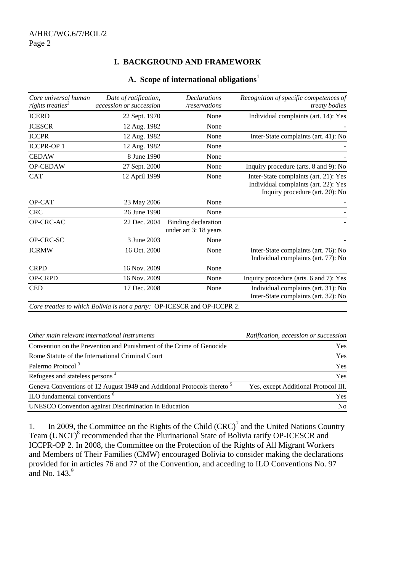## **I. BACKGROUND AND FRAMEWORK**

#### **A. Scope of international obligations**<sup>1</sup>

| Core universal human         | Date of ratification,                                                                   | <b>Declarations</b>                          | Recognition of specific competences of                                        |
|------------------------------|-----------------------------------------------------------------------------------------|----------------------------------------------|-------------------------------------------------------------------------------|
| rights treaties <sup>2</sup> | accession or succession                                                                 | /reservations                                | treaty bodies                                                                 |
| <b>ICERD</b>                 | 22 Sept. 1970                                                                           | None                                         | Individual complaints (art. 14): Yes                                          |
| <b>ICESCR</b>                | 12 Aug. 1982                                                                            | None                                         |                                                                               |
| <b>ICCPR</b>                 | 12 Aug. 1982                                                                            | None                                         | Inter-State complaints (art. 41): No                                          |
| <b>ICCPR-OP1</b>             | 12 Aug. 1982                                                                            | None                                         |                                                                               |
| <b>CEDAW</b>                 | 8 June 1990                                                                             | None                                         |                                                                               |
| OP-CEDAW                     | 27 Sept. 2000                                                                           | None                                         | Inquiry procedure (arts. 8 and 9): No                                         |
| <b>CAT</b>                   | 12 April 1999                                                                           | None                                         | Inter-State complaints (art. 21): Yes<br>Individual complaints (art. 22): Yes |
|                              |                                                                                         |                                              | Inquiry procedure (art. 20): No                                               |
| OP-CAT                       | 23 May 2006                                                                             | None                                         |                                                                               |
| <b>CRC</b>                   | 26 June 1990                                                                            | None                                         |                                                                               |
| OP-CRC-AC                    | 22 Dec. 2004                                                                            | Binding declaration<br>under art 3: 18 years |                                                                               |
| OP-CRC-SC                    | 3 June 2003                                                                             | None                                         |                                                                               |
| <b>ICRMW</b>                 | 16 Oct. 2000                                                                            | None                                         | Inter-State complaints (art. 76): No<br>Individual complaints (art. 77): No   |
| <b>CRPD</b>                  | 16 Nov. 2009                                                                            | None                                         |                                                                               |
| OP-CRPD                      | 16 Nov. 2009                                                                            | None                                         | Inquiry procedure (arts. 6 and 7): Yes                                        |
| <b>CED</b>                   | 17 Dec. 2008                                                                            | None                                         | Individual complaints (art. 31): No<br>Inter-State complaints (art. 32): No   |
|                              | Care treaties to which Rolivia is not a party: $\Omega$ P-ICESCR and $\Omega$ P-ICCPR 2 |                                              |                                                                               |

*Core treaties to which Bolivia is not a party:* OP-ICESCR and OP-ICCPR 2.

| Other main relevant international instruments                                      | Ratification, accession or succession |
|------------------------------------------------------------------------------------|---------------------------------------|
| Convention on the Prevention and Punishment of the Crime of Genocide               | <b>Yes</b>                            |
| Rome Statute of the International Criminal Court                                   | <b>Yes</b>                            |
| Palermo Protocol <sup>3</sup>                                                      | <b>Yes</b>                            |
| Refugees and stateless persons <sup>4</sup>                                        | Yes                                   |
| Geneva Conventions of 12 August 1949 and Additional Protocols thereto <sup>5</sup> | Yes, except Additional Protocol III.  |
| ILO fundamental conventions <sup>6</sup>                                           | <b>Yes</b>                            |
| <b>UNESCO</b> Convention against Discrimination in Education                       | No.                                   |

1. In 2009, the Committee on the Rights of the Child  $(CRC)^7$  and the United Nations Country Team (UNCT)<sup>8</sup> recommended that the Plurinational State of Bolivia ratify OP-ICESCR and ICCPR-OP 2. In 2008, the Committee on the Protection of the Rights of All Migrant Workers and Members of Their Families (CMW) encouraged Bolivia to consider making the declarations provided for in articles 76 and 77 of the Convention, and acceding to ILO Conventions No. 97 and No.  $143<sup>9</sup>$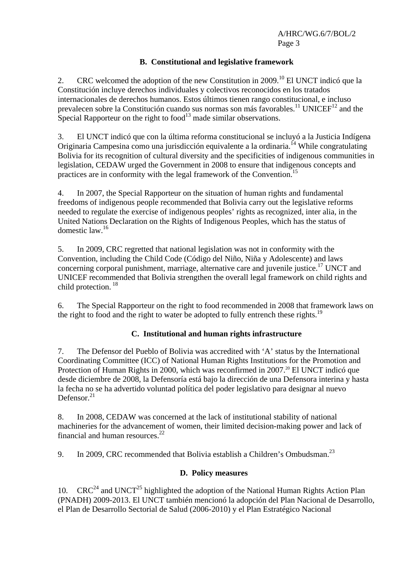## **B. Constitutional and legislative framework**

2. CRC welcomed the adoption of the new Constitution in 2009.<sup>10</sup> El UNCT indicó que la Constitución incluye derechos individuales y colectivos reconocidos en los tratados internacionales de derechos humanos. Estos últimos tienen rango constitucional, e incluso prevalecen sobre la Constitución cuando sus normas son más favorables.<sup>11</sup> UNICEF<sup>12</sup> and the Special Rapporteur on the right to food<sup>13</sup> made similar observations.

3. El UNCT indicó que con la última reforma constitucional se incluyó a la Justicia Indígena Originaria Campesina como una jurisdicción equivalente a la ordinaria.14 While congratulating Bolivia for its recognition of cultural diversity and the specificities of indigenous communities in legislation, CEDAW urged the Government in 2008 to ensure that indigenous concepts and practices are in conformity with the legal framework of the Convention.<sup>15</sup>

4. In 2007, the Special Rapporteur on the situation of human rights and fundamental freedoms of indigenous people recommended that Bolivia carry out the legislative reforms needed to regulate the exercise of indigenous peoples' rights as recognized, inter alia, in the United Nations Declaration on the Rights of Indigenous Peoples, which has the status of domestic law.16

5. In 2009, CRC regretted that national legislation was not in conformity with the Convention, including the Child Code (Código del Niño, Niña y Adolescente) and laws concerning corporal punishment, marriage, alternative care and juvenile justice.<sup>17</sup> UNCT and UNICEF recommended that Bolivia strengthen the overall legal framework on child rights and child protection. 18

6. The Special Rapporteur on the right to food recommended in 2008 that framework laws on the right to food and the right to water be adopted to fully entrench these rights.<sup>19</sup>

## **C. Institutional and human rights infrastructure**

7. The Defensor del Pueblo of Bolivia was accredited with 'A' status by the International Coordinating Committee (ICC) of National Human Rights Institutions for the Promotion and Protection of Human Rights in 2000, which was reconfirmed in 2007.<sup>20</sup> El UNCT indicó que desde diciembre de 2008, la Defensoría está bajo la dirección de una Defensora interina y hasta la fecha no se ha advertido voluntad política del poder legislativo para designar al nuevo Defensor. $21$ 

8. In 2008, CEDAW was concerned at the lack of institutional stability of national machineries for the advancement of women, their limited decision-making power and lack of financial and human resources.<sup>22</sup>

9. In 2009, CRC recommended that Bolivia establish a Children's Ombudsman.<sup>23</sup>

## **D. Policy measures**

10.  $CRC<sup>24</sup>$  and UNCT<sup>25</sup> highlighted the adoption of the National Human Rights Action Plan (PNADH) 2009-2013. El UNCT también mencionó la adopción del Plan Nacional de Desarrollo, el Plan de Desarrollo Sectorial de Salud (2006-2010) y el Plan Estratégico Nacional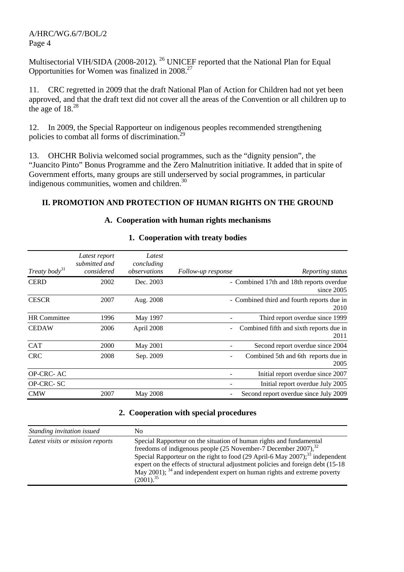Multisectorial VIH/SIDA (2008-2012)*.* 26 UNICEF reported that the National Plan for Equal Opportunities for Women was finalized in 2008.27

11. CRC regretted in 2009 that the draft National Plan of Action for Children had not yet been approved, and that the draft text did not cover all the areas of the Convention or all children up to the age of  $18^{28}$ 

12. In 2009, the Special Rapporteur on indigenous peoples recommended strengthening policies to combat all forms of discrimination.<sup>29</sup>

13. OHCHR Bolivia welcomed social programmes, such as the "dignity pension", the "Juancito Pinto" Bonus Programme and the Zero Malnutrition initiative. It added that in spite of Government efforts, many groups are still underserved by social programmes, in particular indigenous communities, women and children.<sup>30</sup>

## **II. PROMOTION AND PROTECTION OF HUMAN RIGHTS ON THE GROUND**

#### **A. Cooperation with human rights mechanisms**

| Treaty body <sup>31</sup> | Latest report<br>submitted and<br>considered | Latest<br>concluding<br>observations | Reporting status<br>Follow-up response                 |
|---------------------------|----------------------------------------------|--------------------------------------|--------------------------------------------------------|
| <b>CERD</b>               | 2002                                         | Dec. 2003                            | - Combined 17th and 18th reports overdue<br>since 2005 |
| <b>CESCR</b>              | 2007                                         | Aug. 2008                            | - Combined third and fourth reports due in<br>2010     |
| <b>HR</b> Committee       | 1996                                         | May 1997                             | Third report overdue since 1999                        |
| <b>CEDAW</b>              | 2006                                         | April 2008                           | Combined fifth and sixth reports due in<br>2011        |
| <b>CAT</b>                | 2000                                         | May 2001                             | Second report overdue since 2004                       |
| <b>CRC</b>                | 2008                                         | Sep. 2009                            | Combined 5th and 6th reports due in<br>2005            |
| OP-CRC-AC                 |                                              |                                      | Initial report overdue since 2007                      |
| OP-CRC-SC                 |                                              |                                      | Initial report overdue July 2005                       |
| <b>CMW</b>                | 2007                                         | May 2008                             | Second report overdue since July 2009                  |

#### **1. Cooperation with treaty bodies**

#### **2. Cooperation with special procedures**

| Standing invitation issued       | No.                                                                                                                                                                                                                                                                                                                                                                                                                          |
|----------------------------------|------------------------------------------------------------------------------------------------------------------------------------------------------------------------------------------------------------------------------------------------------------------------------------------------------------------------------------------------------------------------------------------------------------------------------|
| Latest visits or mission reports | Special Rapporteur on the situation of human rights and fundamental<br>freedoms of indigenous people (25 November-7 December 2007), $32$<br>Special Rapporteur on the right to food $(29$ April-6 May $2007$ ; <sup>33</sup> independent<br>expert on the effects of structural adjustment policies and foreign debt (15-18)<br>May 2001); $34$ and independent expert on human rights and extreme poverty<br>$(2001).^{35}$ |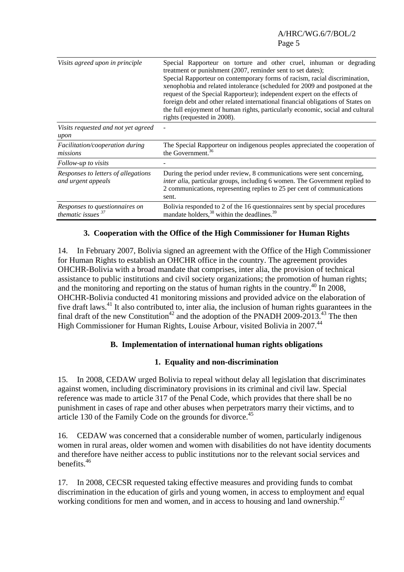| Visits agreed upon in principle                           | Special Rapporteur on torture and other cruel, inhuman or degrading<br>treatment or punishment (2007, reminder sent to set dates);<br>Special Rapporteur on contemporary forms of racism, racial discrimination,<br>xenophobia and related intolerance (scheduled for 2009 and postponed at the<br>request of the Special Rapporteur); independent expert on the effects of<br>foreign debt and other related international financial obligations of States on<br>the full enjoyment of human rights, particularly economic, social and cultural<br>rights (requested in 2008). |
|-----------------------------------------------------------|---------------------------------------------------------------------------------------------------------------------------------------------------------------------------------------------------------------------------------------------------------------------------------------------------------------------------------------------------------------------------------------------------------------------------------------------------------------------------------------------------------------------------------------------------------------------------------|
| Visits requested and not yet agreed<br>upon               |                                                                                                                                                                                                                                                                                                                                                                                                                                                                                                                                                                                 |
| <i>Facilitation/cooperation during</i><br>missions        | The Special Rapporteur on indigenous peoples appreciated the cooperation of<br>the Government. <sup>36</sup>                                                                                                                                                                                                                                                                                                                                                                                                                                                                    |
| Follow-up to visits                                       |                                                                                                                                                                                                                                                                                                                                                                                                                                                                                                                                                                                 |
| Responses to letters of allegations<br>and urgent appeals | During the period under review, 8 communications were sent concerning,<br><i>inter alia</i> , particular groups, including 6 women. The Government replied to<br>2 communications, representing replies to 25 per cent of communications<br>sent.                                                                                                                                                                                                                                                                                                                               |
| Responses to questionnaires on<br>thematic issues $37$    | Bolivia responded to 2 of the 16 questionnaires sent by special procedures<br>mandate holders, <sup>38</sup> within the deadlines. <sup>39</sup>                                                                                                                                                                                                                                                                                                                                                                                                                                |

## **3. Cooperation with the Office of the High Commissioner for Human Rights**

14. In February 2007, Bolivia signed an agreement with the Office of the High Commissioner for Human Rights to establish an OHCHR office in the country. The agreement provides OHCHR-Bolivia with a broad mandate that comprises, inter alia, the provision of technical assistance to public institutions and civil society organizations; the promotion of human rights; and the monitoring and reporting on the status of human rights in the country.<sup>40</sup> In 2008, OHCHR-Bolivia conducted 41 monitoring missions and provided advice on the elaboration of five draft laws.<sup>41</sup> It also contributed to, inter alia, the inclusion of human rights guarantees in the final draft of the new Constitution<sup>42</sup> and the adoption of the PNADH 2009-2013.<sup>43</sup> The then High Commissioner for Human Rights, Louise Arbour, visited Bolivia in 2007.<sup>44</sup>

## **B. Implementation of international human rights obligations**

#### **1. Equality and non-discrimination**

15. In 2008, CEDAW urged Bolivia to repeal without delay all legislation that discriminates against women, including discriminatory provisions in its criminal and civil law. Special reference was made to article 317 of the Penal Code, which provides that there shall be no punishment in cases of rape and other abuses when perpetrators marry their victims, and to article 130 of the Family Code on the grounds for divorce.<sup>45</sup>

16. CEDAW was concerned that a considerable number of women, particularly indigenous women in rural areas, older women and women with disabilities do not have identity documents and therefore have neither access to public institutions nor to the relevant social services and benefits.46

17. In 2008, CECSR requested taking effective measures and providing funds to combat discrimination in the education of girls and young women, in access to employment and equal working conditions for men and women, and in access to housing and land ownership.<sup>47</sup>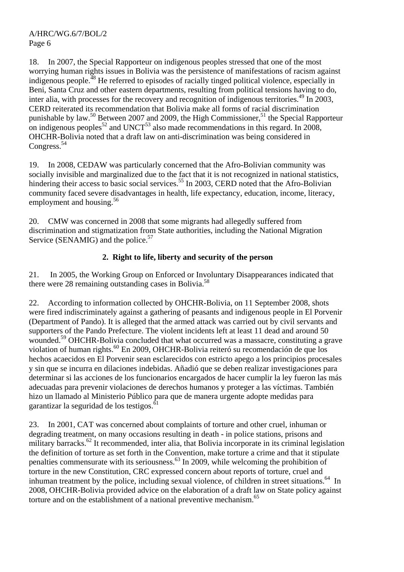18. In 2007, the Special Rapporteur on indigenous peoples stressed that one of the most worrying human rights issues in Bolivia was the persistence of manifestations of racism against indigenous people.<sup>48</sup> He referred to episodes of racially tinged political violence, especially in Beni, Santa Cruz and other eastern departments, resulting from political tensions having to do, inter alia, with processes for the recovery and recognition of indigenous territories.<sup>49</sup> In 2003, CERD reiterated its recommendation that Bolivia make all forms of racial discrimination punishable by law.<sup>50</sup> Between 2007 and 2009, the High Commissioner,<sup>51</sup> the Special Rapporteur on indigenous peoples<sup>52</sup> and UNCT<sup>53</sup> also made recommendations in this regard. In 2008, OHCHR-Bolivia noted that a draft law on anti-discrimination was being considered in Congress.<sup>54</sup>

19. In 2008, CEDAW was particularly concerned that the Afro-Bolivian community was socially invisible and marginalized due to the fact that it is not recognized in national statistics, hindering their access to basic social services.<sup>55</sup> In 2003, CERD noted that the Afro-Bolivian community faced severe disadvantages in health, life expectancy, education, income, literacy, employment and housing.<sup>56</sup>

20. CMW was concerned in 2008 that some migrants had allegedly suffered from discrimination and stigmatization from State authorities, including the National Migration Service (SENAMIG) and the police.<sup>57</sup>

# **2. Right to life, liberty and security of the person**

21. In 2005, the Working Group on Enforced or Involuntary Disappearances indicated that there were 28 remaining outstanding cases in Bolivia.<sup>58</sup>

22. According to information collected by OHCHR-Bolivia, on 11 September 2008, shots were fired indiscriminately against a gathering of peasants and indigenous people in El Porvenir (Department of Pando). It is alleged that the armed attack was carried out by civil servants and supporters of the Pando Prefecture. The violent incidents left at least 11 dead and around 50 wounded.<sup>59</sup> OHCHR-Bolivia concluded that what occurred was a massacre, constituting a grave violation of human rights.<sup>60</sup> En 2009, OHCHR-Bolivia reiteró su recomendación de que los hechos acaecidos en El Porvenir sean esclarecidos con estricto apego a los principios procesales y sin que se incurra en dilaciones indebidas. Añadió que se deben realizar investigaciones para determinar si las acciones de los funcionarios encargados de hacer cumplir la ley fueron las más adecuadas para prevenir violaciones de derechos humanos y proteger a las víctimas. También hizo un llamado al Ministerio Público para que de manera urgente adopte medidas para garantizar la seguridad de los testigos.<sup>61</sup>

23. In 2001, CAT was concerned about complaints of torture and other cruel, inhuman or degrading treatment, on many occasions resulting in death - in police stations, prisons and military barracks.<sup>62</sup> It recommended, inter alia, that Bolivia incorporate in its criminal legislation the definition of torture as set forth in the Convention, make torture a crime and that it stipulate penalties commensurate with its seriousness.63 In 2009, while welcoming the prohibition of torture in the new Constitution, CRC expressed concern about reports of torture, cruel and inhuman treatment by the police, including sexual violence, of children in street situations.<sup>64</sup> In 2008, OHCHR-Bolivia provided advice on the elaboration of a draft law on State policy against torture and on the establishment of a national preventive mechanism.<sup>65</sup>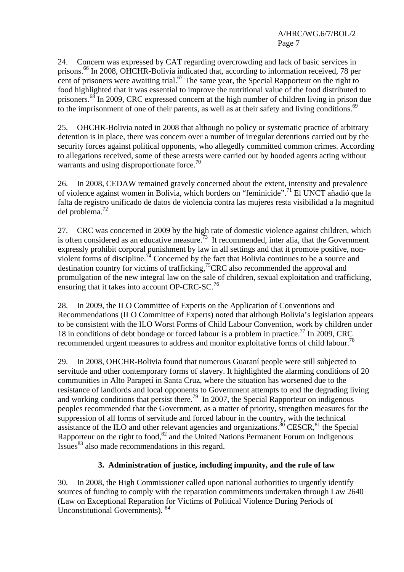24. Concern was expressed by CAT regarding overcrowding and lack of basic services in prisons.66 In 2008, OHCHR-Bolivia indicated that, according to information received, 78 per cent of prisoners were awaiting trial.<sup>67</sup> The same year, the Special Rapporteur on the right to food highlighted that it was essential to improve the nutritional value of the food distributed to prisoners.<sup>68</sup> In 2009, CRC expressed concern at the high number of children living in prison due to the imprisonment of one of their parents, as well as at their safety and living conditions.<sup>69</sup>

25. OHCHR-Bolivia noted in 2008 that although no policy or systematic practice of arbitrary detention is in place, there was concern over a number of irregular detentions carried out by the security forces against political opponents, who allegedly committed common crimes. According to allegations received, some of these arrests were carried out by hooded agents acting without warrants and using disproportionate force.<sup>70</sup>

26. In 2008, CEDAW remained gravely concerned about the extent, intensity and prevalence of violence against women in Bolivia, which borders on "feminicide".71 El UNCT añadió que la falta de registro unificado de datos de violencia contra las mujeres resta visibilidad a la magnitud del problema.72

27. CRC was concerned in 2009 by the high rate of domestic violence against children, which is often considered as an educative measure.<sup>73</sup> It recommended, inter alia, that the Government expressly prohibit corporal punishment by law in all settings and that it promote positive, nonviolent forms of discipline.<sup>74</sup> Concerned by the fact that Bolivia continues to be a source and destination country for victims of trafficking,  $\frac{75}{2}$ CRC also recommended the approval and promulgation of the new integral law on the sale of children, sexual exploitation and trafficking, ensuring that it takes into account OP-CRC-SC.<sup>76</sup>

28. In 2009, the ILO Committee of Experts on the Application of Conventions and Recommendations (ILO Committee of Experts) noted that although Bolivia's legislation appears to be consistent with the ILO Worst Forms of Child Labour Convention, work by children under 18 in conditions of debt bondage or forced labour is a problem in practice.<sup>77</sup> In 2009, CRC recommended urgent measures to address and monitor exploitative forms of child labour.78

29. In 2008, OHCHR-Bolivia found that numerous Guaraní people were still subjected to servitude and other contemporary forms of slavery. It highlighted the alarming conditions of 20 communities in Alto Parapetí in Santa Cruz, where the situation has worsened due to the resistance of landlords and local opponents to Government attempts to end the degrading living and working conditions that persist there.<sup>79</sup> In 2007, the Special Rapporteur on indigenous peoples recommended that the Government, as a matter of priority, strengthen measures for the suppression of all forms of servitude and forced labour in the country, with the technical assistance of the ILO and other relevant agencies and organizations.<sup>80</sup> CESCR,<sup>81</sup> the Special Rapporteur on the right to food, $82$  and the United Nations Permanent Forum on Indigenous  $I<sub>1</sub><sup>11</sup>$  Issues<sup>83</sup> also made recommendations in this regard.

# **3. Administration of justice, including impunity, and the rule of law**

30. In 2008, the High Commissioner called upon national authorities to urgently identify sources of funding to comply with the reparation commitments undertaken through Law 2640 (Law on Exceptional Reparation for Victims of Political Violence During Periods of Unconstitutional Governments). 84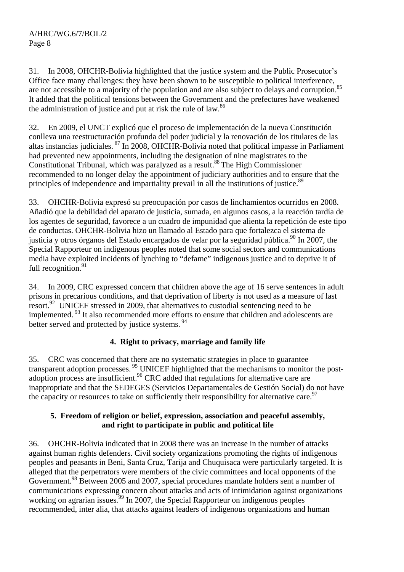31. In 2008, OHCHR-Bolivia highlighted that the justice system and the Public Prosecutor's Office face many challenges: they have been shown to be susceptible to political interference, are not accessible to a majority of the population and are also subject to delays and corruption.<sup>85</sup> It added that the political tensions between the Government and the prefectures have weakened the administration of justice and put at risk the rule of law.<sup>86</sup>

32. En 2009, el UNCT explicó que el proceso de implementación de la nueva Constitución conlleva una reestructuración profunda del poder judicial y la renovación de los titulares de las altas instancias judiciales. 87 In 2008, OHCHR-Bolivia noted that political impasse in Parliament had prevented new appointments, including the designation of nine magistrates to the Constitutional Tribunal, which was paralyzed as a result.<sup>88</sup> The High Commissioner recommended to no longer delay the appointment of judiciary authorities and to ensure that the principles of independence and impartiality prevail in all the institutions of justice.<sup>89</sup>

33. OHCHR-Bolivia expresó su preocupación por casos de linchamientos ocurridos en 2008. Añadió que la debilidad del aparato de justicia, sumada, en algunos casos, a la reacción tardía de los agentes de seguridad, favorece a un cuadro de impunidad que alienta la repetición de este tipo de conductas. OHCHR-Bolivia hizo un llamado al Estado para que fortalezca el sistema de justicia y otros órganos del Estado encargados de velar por la seguridad pública.<sup>90</sup> In 2007, the Special Rapporteur on indigenous peoples noted that some social sectors and communications media have exploited incidents of lynching to "defame" indigenous justice and to deprive it of full recognition.<sup>91</sup>

34. In 2009, CRC expressed concern that children above the age of 16 serve sentences in adult prisons in precarious conditions, and that deprivation of liberty is not used as a measure of last resort.<sup>92</sup> UNICEF stressed in 2009, that alternatives to custodial sentencing need to be implemented. <sup>93</sup> It also recommended more efforts to ensure that children and adolescents are better served and protected by justice systems.<sup>94</sup>

# **4. Right to privacy, marriage and family life**

35. CRC was concerned that there are no systematic strategies in place to guarantee transparent adoption processes.<sup>95</sup> UNICEF highlighted that the mechanisms to monitor the postadoption process are insufficient.<sup>96</sup> CRC added that regulations for alternative care are inappropriate and that the SEDEGES (Servicios Departamentales de Gestión Social) do not have the capacity or resources to take on sufficiently their responsibility for alternative care.  $97$ 

# **5. Freedom of religion or belief, expression, association and peaceful assembly, and right to participate in public and political life**

36. OHCHR-Bolivia indicated that in 2008 there was an increase in the number of attacks against human rights defenders. Civil society organizations promoting the rights of indigenous peoples and peasants in Beni, Santa Cruz, Tarija and Chuquisaca were particularly targeted. It is alleged that the perpetrators were members of the civic committees and local opponents of the Government.<sup>98</sup> Between 2005 and 2007, special procedures mandate holders sent a number of communications expressing concern about attacks and acts of intimidation against organizations working on agrarian issues.<sup>99</sup> In 2007, the Special Rapporteur on indigenous peoples recommended, inter alia, that attacks against leaders of indigenous organizations and human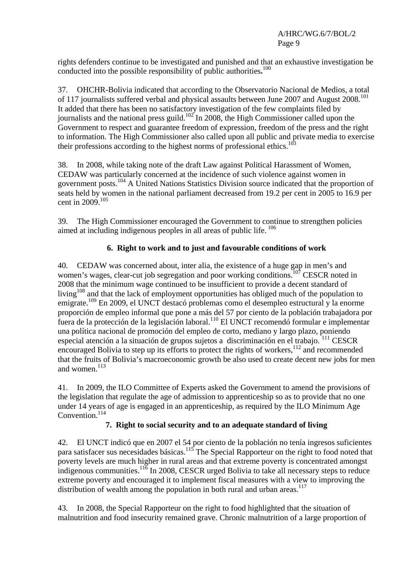rights defenders continue to be investigated and punished and that an exhaustive investigation be conducted into the possible responsibility of public authorities**.** 100

37. OHCHR-Bolivia indicated that according to the Observatorio Nacional de Medios*,* a total of 117 journalists suffered verbal and physical assaults between June 2007 and August 2008.<sup>101</sup> It added that there has been no satisfactory investigation of the few complaints filed by journalists and the national press guild.<sup>102</sup> In 2008, the High Commissioner called upon the Government to respect and guarantee freedom of expression, freedom of the press and the right to information. The High Commissioner also called upon all public and private media to exercise their professions according to the highest norms of professional ethics.<sup>103</sup>

38. In 2008, while taking note of the draft Law against Political Harassment of Women, CEDAW was particularly concerned at the incidence of such violence against women in government posts.104 A United Nations Statistics Division source indicated that the proportion of seats held by women in the national parliament decreased from 19.2 per cent in 2005 to 16.9 per cent in 2009.105

39. The High Commissioner encouraged the Government to continue to strengthen policies aimed at including indigenous peoples in all areas of public life.  $106$ 

# **6. Right to work and to just and favourable conditions of work**

40. CEDAW was concerned about, inter alia, the existence of a huge gap in men's and women's wages, clear-cut job segregation and poor working conditions.<sup>107</sup> CESCR noted in 2008 that the minimum wage continued to be insufficient to provide a decent standard of living<sup>108</sup> and that the lack of employment opportunities has obliged much of the population to emigrate.109 En 2009, el UNCT destacó problemas como el desempleo estructural y la enorme proporción de empleo informal que pone a más del 57 por ciento de la población trabajadora por fuera de la protección de la legislación laboral.<sup>110</sup> El UNCT recomendó formular e implementar una política nacional de promoción del empleo de corto, mediano y largo plazo, poniendo especial atención a la situación de grupos sujetos a discriminación en el trabajo.<sup>111</sup> CESCR encouraged Bolivia to step up its efforts to protect the rights of workers,112 and recommended that the fruits of Bolivia's macroeconomic growth be also used to create decent new jobs for men and women $113$ 

41. In 2009, the ILO Committee of Experts asked the Government to amend the provisions of the legislation that regulate the age of admission to apprenticeship so as to provide that no one under 14 years of age is engaged in an apprenticeship, as required by the ILO Minimum Age Convention.<sup>114</sup>

# **7. Right to social security and to an adequate standard of living**

42. El UNCT indicó que en 2007 el 54 por ciento de la población no tenía ingresos suficientes para satisfacer sus necesidades básicas.<sup>115</sup> The Special Rapporteur on the right to food noted that poverty levels are much higher in rural areas and that extreme poverty is concentrated amongst indigenous communities. $11\overline{6}$  In 2008, CESCR urged Bolivia to take all necessary steps to reduce extreme poverty and encouraged it to implement fiscal measures with a view to improving the distribution of wealth among the population in both rural and urban areas.<sup>117</sup>

43. In 2008, the Special Rapporteur on the right to food highlighted that the situation of malnutrition and food insecurity remained grave. Chronic malnutrition of a large proportion of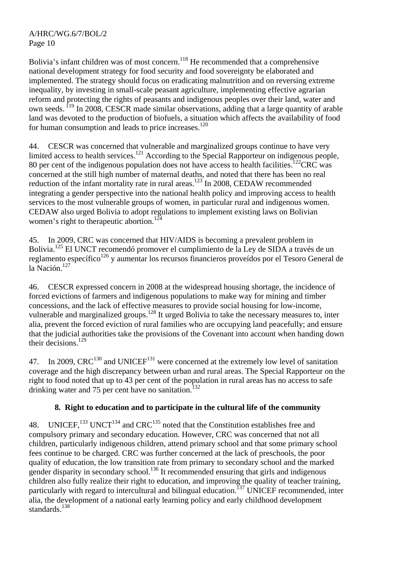Bolivia's infant children was of most concern.<sup>118</sup> He recommended that a comprehensive national development strategy for food security and food sovereignty be elaborated and implemented. The strategy should focus on eradicating malnutrition and on reversing extreme inequality, by investing in small-scale peasant agriculture, implementing effective agrarian reform and protecting the rights of peasants and indigenous peoples over their land, water and own seeds. <sup>119</sup> In 2008, CESCR made similar observations, adding that a large quantity of arable land was devoted to the production of biofuels, a situation which affects the availability of food for human consumption and leads to price increases. $120$ 

44. CESCR was concerned that vulnerable and marginalized groups continue to have very limited access to health services.<sup>121</sup> According to the Special Rapporteur on indigenous people, 80 per cent of the indigenous population does not have access to health facilities.<sup>122</sup>CRC was concerned at the still high number of maternal deaths, and noted that there has been no real reduction of the infant mortality rate in rural areas.<sup>123</sup> In 2008, CEDAW recommended integrating a gender perspective into the national health policy and improving access to health services to the most vulnerable groups of women, in particular rural and indigenous women. CEDAW also urged Bolivia to adopt regulations to implement existing laws on Bolivian women's right to the rapeutic abortion.<sup>124</sup>

45. In 2009, CRC was concerned that HIV/AIDS is becoming a prevalent problem in Bolivia.<sup>125</sup> El UNCT recomendó promover el cumplimiento de la Ley de SIDA a través de un reglamento específico<sup>126</sup> y aumentar los recursos financieros proveídos por el Tesoro General de la Nación.<sup>127</sup>

46. CESCR expressed concern in 2008 at the widespread housing shortage, the incidence of forced evictions of farmers and indigenous populations to make way for mining and timber concessions, and the lack of effective measures to provide social housing for low-income, vulnerable and marginalized groups.<sup>128</sup> It urged Bolivia to take the necessary measures to, inter alia, prevent the forced eviction of rural families who are occupying land peacefully; and ensure that the judicial authorities take the provisions of the Covenant into account when handing down their decisions.129

47. In 2009,  $CRC^{130}$  and UNICEF<sup>131</sup> were concerned at the extremely low level of sanitation coverage and the high discrepancy between urban and rural areas. The Special Rapporteur on the right to food noted that up to 43 per cent of the population in rural areas has no access to safe drinking water and 75 per cent have no sanitation.<sup>132</sup>

# **8. Right to education and to participate in the cultural life of the community**

48. UNICEF,  $^{133}$  UNCT<sup>134</sup> and CRC<sup>135</sup> noted that the Constitution establishes free and compulsory primary and secondary education. However, CRC was concerned that not all children, particularly indigenous children, attend primary school and that some primary school fees continue to be charged. CRC was further concerned at the lack of preschools, the poor quality of education, the low transition rate from primary to secondary school and the marked gender disparity in secondary school.<sup>136</sup> It recommended ensuring that girls and indigenous children also fully realize their right to education, and improving the quality of teacher training, particularly with regard to intercultural and bilingual education.<sup>137</sup> UNICEF recommended, inter alia, the development of a national early learning policy and early childhood development standards.<sup>138</sup>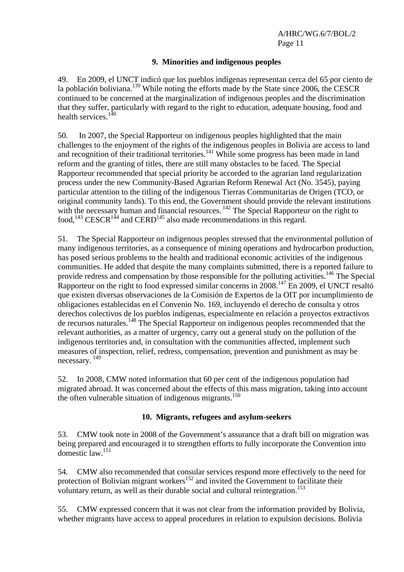#### **9. Minorities and indigenous peoples**

49. En 2009, el UNCT indicó que los pueblos indígenas representan cerca del 65 por ciento de la población boliviana.139 While noting the efforts made by the State since 2006, the CESCR continued to be concerned at the marginalization of indigenous peoples and the discrimination that they suffer, particularly with regard to the right to education, adequate housing, food and health services.<sup>140</sup>

50. In 2007, the Special Rapporteur on indigenous peoples highlighted that the main challenges to the enjoyment of the rights of the indigenous peoples in Bolivia are access to land and recognition of their traditional territories.<sup>141</sup> While some progress has been made in land reform and the granting of titles, there are still many obstacles to be faced. The Special Rapporteur recommended that special priority be accorded to the agrarian land regularization process under the new Community-Based Agrarian Reform Renewal Act (No. 3545), paying particular attention to the titling of the indigenous Tierras Communitarias de Origen (TCO, or original community lands). To this end, the Government should provide the relevant institutions with the necessary human and financial resources.<sup>142</sup> The Special Rapporteur on the right to food,  $^{143}$  CESCR $^{144}$  and CERD $^{145}$  also made recommendations in this regard.

51. The Special Rapporteur on indigenous peoples stressed that the environmental pollution of many indigenous territories, as a consequence of mining operations and hydrocarbon production, has posed serious problems to the health and traditional economic activities of the indigenous communities. He added that despite the many complaints submitted, there is a reported failure to provide redress and compensation by those responsible for the polluting activities.<sup>146</sup> The Special Rapporteur on the right to food expressed similar concerns in  $2008$ .<sup>147</sup> En 2009, el UNCT resaltó que existen diversas observaciones de la Comisión de Expertos de la OIT por incumplimiento de obligaciones establecidas en el Convenio No. 169, incluyendo el derecho de consulta y otros derechos colectivos de los pueblos indígenas, especialmente en relación a proyectos extractivos de recursos naturales.148 The Special Rapporteur on indigenous peoples recommended that the relevant authorities, as a matter of urgency, carry out a general study on the pollution of the indigenous territories and, in consultation with the communities affected, implement such measures of inspection, relief, redress, compensation, prevention and punishment as may be necessary. 149

52. In 2008, CMW noted information that 60 per cent of the indigenous population had migrated abroad. It was concerned about the effects of this mass migration, taking into account the often vulnerable situation of indigenous migrants.<sup>150</sup>

## **10. Migrants, refugees and asylum-seekers**

53. CMW took note in 2008 of the Government's assurance that a draft bill on migration was being prepared and encouraged it to strengthen efforts to fully incorporate the Convention into domestic law.151

54. CMW also recommended that consular services respond more effectively to the need for protection of Bolivian migrant workers<sup>152</sup> and invited the Government to facilitate their voluntary return, as well as their durable social and cultural reintegration.<sup>153</sup>

55. CMW expressed concern that it was not clear from the information provided by Bolivia, whether migrants have access to appeal procedures in relation to expulsion decisions. Bolivia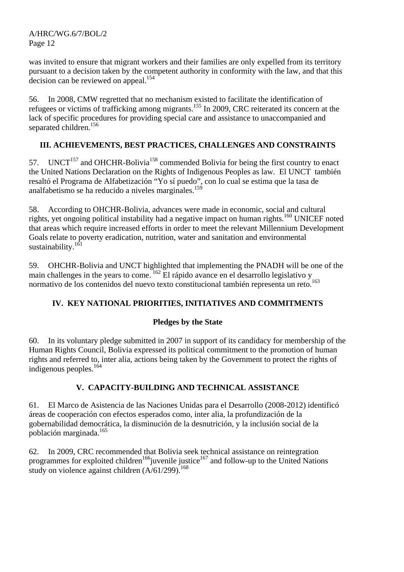was invited to ensure that migrant workers and their families are only expelled from its territory pursuant to a decision taken by the competent authority in conformity with the law, and that this decision can be reviewed on appeal.<sup>154</sup>

56. In 2008, CMW regretted that no mechanism existed to facilitate the identification of refugees or victims of trafficking among migrants.155 In 2009, CRC reiterated its concern at the lack of specific procedures for providing special care and assistance to unaccompanied and separated children.<sup>156</sup>

# **III. ACHIEVEMENTS, BEST PRACTICES, CHALLENGES AND CONSTRAINTS**

57. UNCT<sup>157</sup> and OHCHR-Bolivia<sup>158</sup> commended Bolivia for being the first country to enact the United Nations Declaration on the Rights of Indigenous Peoples as law. El UNCT también resaltó el Programa de Alfabetización "Yo sí puedo", con lo cual se estima que la tasa de analfabetismo se ha reducido a niveles marginales.<sup>159</sup>

58. According to OHCHR-Bolivia, advances were made in economic, social and cultural rights, yet ongoing political instability had a negative impact on human rights.<sup>160</sup> UNICEF noted that areas which require increased efforts in order to meet the relevant Millennium Development Goals relate to poverty eradication, nutrition, water and sanitation and environmental sustainability.<sup>161</sup>

59. OHCHR-Bolivia and UNCT highlighted that implementing the PNADH will be one of the main challenges in the years to come.<sup>162</sup> El rápido avance en el desarrollo legislativo y normativo de los contenidos del nuevo texto constitucional también representa un reto.<sup>163</sup>

# **IV. KEY NATIONAL PRIORITIES, INITIATIVES AND COMMITMENTS**

## **Pledges by the State**

60. In its voluntary pledge submitted in 2007 in support of its candidacy for membership of the Human Rights Council, Bolivia expressed its political commitment to the promotion of human rights and referred to, inter alia, actions being taken by the Government to protect the rights of indigenous peoples.164

## **V. CAPACITY-BUILDING AND TECHNICAL ASSISTANCE**

61. El Marco de Asistencia de las Naciones Unidas para el Desarrollo (2008-2012) identificó áreas de cooperación con efectos esperados como, inter alia, la profundización de la gobernabilidad democrática, la disminución de la desnutrición, y la inclusión social de la población marginada.165

62. In 2009, CRC recommended that Bolivia seek technical assistance on reintegration programmes for exploited children<sup>166</sup>juvenile justice<sup>167</sup> and follow-up to the United Nations study on violence against children  $(A/61/299)$ .<sup>168</sup>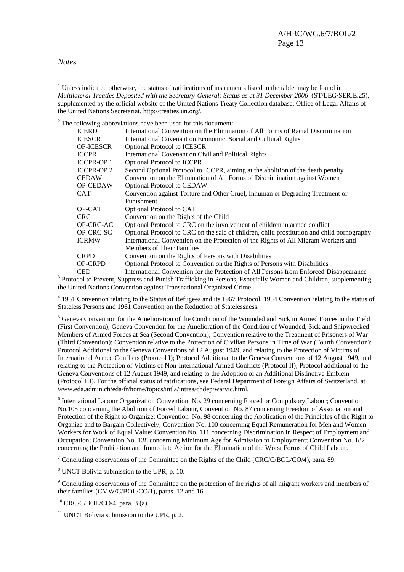*Notes* 

 $\overline{a}$ 

 $2^2$  The following abbreviations have been used for this document:

| <b>ICERD</b>    | International Convention on the Elimination of All Forms of Racial Discrimination          |
|-----------------|--------------------------------------------------------------------------------------------|
| ICESCR          | International Covenant on Economic, Social and Cultural Rights                             |
| OP-ICESCR       | <b>Optional Protocol to ICESCR</b>                                                         |
| ICCPR           | International Covenant on Civil and Political Rights                                       |
| ICCPR-OP 1      | <b>Optional Protocol to ICCPR</b>                                                          |
| ICCPR-OP 2      | Second Optional Protocol to ICCPR, aiming at the abolition of the death penalty            |
| CEDAW           | Convention on the Elimination of All Forms of Discrimination against Women                 |
| <b>OP-CEDAW</b> | <b>Optional Protocol to CEDAW</b>                                                          |
| CAT             | Convention against Torture and Other Cruel, Inhuman or Degrading Treatment or              |
|                 | Punishment                                                                                 |
| OP-CAT          | Optional Protocol to CAT                                                                   |
| CRC             | Convention on the Rights of the Child                                                      |
| OP-CRC-AC       | Optional Protocol to CRC on the involvement of children in armed conflict                  |
| OP-CRC-SC       | Optional Protocol to CRC on the sale of children, child prostitution and child pornography |
| ICRMW           | International Convention on the Protection of the Rights of All Migrant Workers and        |
|                 | <b>Members of Their Families</b>                                                           |
| CRPD            | Convention on the Rights of Persons with Disabilities                                      |
| OP-CRPD         | Optional Protocol to Convention on the Rights of Persons with Disabilities                 |
| CED             | International Convention for the Protection of All Persons from Enforced Disappearance     |

CED International Convention for the Protection of All Persons from Enforced Disappearance 3 Protocol to Prevent, Suppress and Punish Trafficking in Persons, Especially Women and Children, supplementing the United Nations Convention against Transnational Organized Crime.

 $4$  1951 Convention relating to the Status of Refugees and its 1967 Protocol, 1954 Convention relating to the status of Stateless Persons and 1961 Convention on the Reduction of Statelessness.

<sup>5</sup> Geneva Convention for the Amelioration of the Condition of the Wounded and Sick in Armed Forces in the Field (First Convention); Geneva Convention for the Amelioration of the Condition of Wounded, Sick and Shipwrecked Members of Armed Forces at Sea (Second Convention); Convention relative to the Treatment of Prisoners of War (Third Convention); Convention relative to the Protection of Civilian Persons in Time of War (Fourth Convention); Protocol Additional to the Geneva Conventions of 12 August 1949, and relating to the Protection of Victims of International Armed Conflicts (Protocol I); Protocol Additional to the Geneva Conventions of 12 August 1949, and relating to the Protection of Victims of Non-International Armed Conflicts (Protocol II); Protocol additional to the Geneva Conventions of 12 August 1949, and relating to the Adoption of an Additional Distinctive Emblem (Protocol III). For the official status of ratifications, see Federal Department of Foreign Affairs of Switzerland, at www.eda.admin.ch/eda/fr/home/topics/intla/intrea/chdep/warvic.html.

<sup>6</sup> International Labour Organization Convention No. 29 concerning Forced or Compulsory Labour; Convention No.105 concerning the Abolition of Forced Labour, Convention No. 87 concerning Freedom of Association and Protection of the Right to Organize; Convention No. 98 concerning the Application of the Principles of the Right to Organize and to Bargain Collectively; Convention No. 100 concerning Equal Remuneration for Men and Women Workers for Work of Equal Value; Convention No. 111 concerning Discrimination in Respect of Employment and Occupation; Convention No. 138 concerning Minimum Age for Admission to Employment; Convention No. 182 concerning the Prohibition and Immediate Action for the Elimination of the Worst Forms of Child Labour.

<sup>7</sup> Concluding observations of the Committee on the Rights of the Child (CRC/C/BOL/CO/4), para. 89.

8 UNCT Bolivia submission to the UPR, p. 10.

<sup>9</sup> Concluding observations of the Committee on the protection of the rights of all migrant workers and members of their families (CMW/C/BOL/CO/1), paras. 12 and 16.

 $10$  CRC/C/BOL/CO/4, para. 3 (a).

 $11$  UNCT Bolivia submission to the UPR, p. 2.

<sup>&</sup>lt;sup>1</sup> Unless indicated otherwise, the status of ratifications of instruments listed in the table may be found in *Multilateral Treaties Deposited with the Secretary-General: Status as at 31 December 2006* (ST/LEG/SER.E.25), supplemented by the official website of the United Nations Treaty Collection database, Office of Legal Affairs of the United Nations Secretariat, http://treaties.un.org/.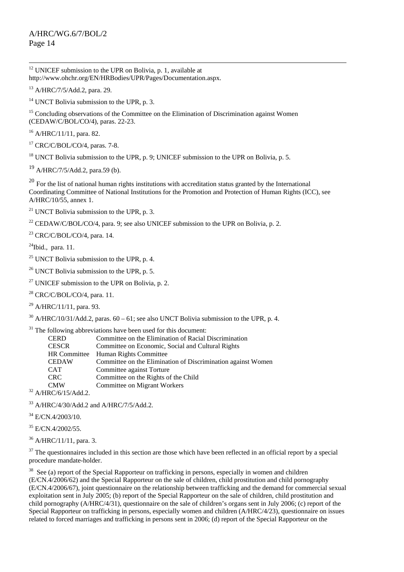$12$  UNICEF submission to the UPR on Bolivia, p. 1, available at http://www.ohchr.org/EN/HRBodies/UPR/Pages/Documentation.aspx.

13 A/HRC/7/5/Add.2, para. 29.

<sup>14</sup> UNCT Bolivia submission to the UPR, p. 3.

<sup>15</sup> Concluding observations of the Committee on the Elimination of Discrimination against Women (CEDAW/C/BOL/CO/4), paras. 22-23.

<sup>16</sup> A/HRC/11/11, para. 82.

 $17$  CRC/C/BOL/CO/4, paras. 7-8.

<sup>18</sup> UNCT Bolivia submission to the UPR, p. 9; UNICEF submission to the UPR on Bolivia, p. 5.

 $^{19}$  A/HRC/7/5/Add.2, para.59 (b).

<sup>20</sup> For the list of national human rights institutions with accreditation status granted by the International Coordinating Committee of National Institutions for the Promotion and Protection of Human Rights (ICC), see A/HRC/10/55, annex 1.

<sup>21</sup> UNCT Bolivia submission to the UPR, p. 3.

<sup>22</sup> CEDAW/C/BOL/CO/4, para. 9: see also UNICEF submission to the UPR on Bolivia, p. 2.

 $23$  CRC/C/BOL/CO/4, para. 14.

 $24$ Ibid., para. 11.

 $25$  UNCT Bolivia submission to the UPR, p. 4.

 $26$  UNCT Bolivia submission to the UPR, p. 5.

<sup>27</sup> UNICEF submission to the UPR on Bolivia, p. 2.

 $28$  CRC/C/BOL/CO/4, para. 11.

 $^{29}$  A/HRC/11/11, para. 93.

 $30$  A/HRC/10/31/Add.2, paras. 60 – 61; see also UNCT Bolivia submission to the UPR, p. 4.

 $31$  The following abbreviations have been used for this document:

| <b>CERD</b>         | Committee on the Elimination of Racial Discrimination        |
|---------------------|--------------------------------------------------------------|
| <b>CESCR</b>        | Committee on Economic, Social and Cultural Rights            |
| <b>HR</b> Committee | Human Rights Committee                                       |
| <b>CEDAW</b>        | Committee on the Elimination of Discrimination against Women |
| <b>CAT</b>          | Committee against Torture                                    |
| <b>CRC</b>          | Committee on the Rights of the Child                         |
| <b>CMW</b>          | Committee on Migrant Workers                                 |
| $TTDCIC/1E/1.11A$   |                                                              |

 $32$  A/HRC/6/15/Add.2.

 $33$  A/HRC/4/30/Add.2 and A/HRC/7/5/Add.2.

 $34$  E/CN.4/2003/10.

<sup>35</sup> E/CN.4/2002/55.

36 A/HRC/11/11, para. 3.

 $37$  The questionnaires included in this section are those which have been reflected in an official report by a special procedure mandate-holder.

<sup>38</sup> See (a) report of the Special Rapporteur on trafficking in persons, especially in women and children (E/CN.4/2006/62) and the Special Rapporteur on the sale of children, child prostitution and child pornography  $(E/CN.4/2006/67)$ , joint questionnaire on the relationship between trafficking and the demand for commercial sexual exploitation sent in July 2005; (b) report of the Special Rapporteur on the sale of children, child prostitution and child pornography (A/HRC/4/31), questionnaire on the sale of children's organs sent in July 2006; (c) report of the Special Rapporteur on trafficking in persons, especially women and children (A/HRC/4/23), questionnaire on issues related to forced marriages and trafficking in persons sent in 2006; (d) report of the Special Rapporteur on the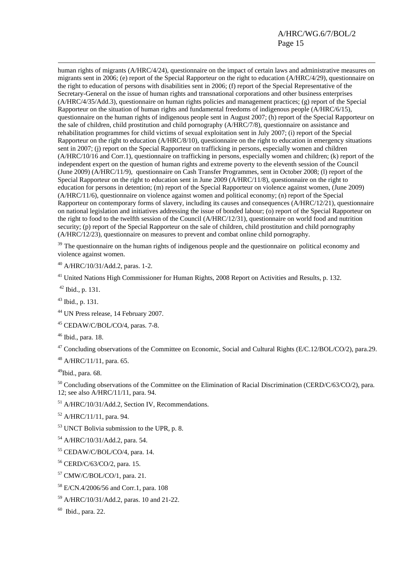human rights of migrants (A/HRC/4/24), questionnaire on the impact of certain laws and administrative measures on migrants sent in 2006; (e) report of the Special Rapporteur on the right to education (A/HRC/4/29), questionnaire on the right to education of persons with disabilities sent in 2006; (f) report of the Special Representative of the Secretary-General on the issue of human rights and transnational corporations and other business enterprises (A/HRC/4/35/Add.3), questionnaire on human rights policies and management practices; (g) report of the Special Rapporteur on the situation of human rights and fundamental freedoms of indigenous people (A/HRC/6/15), questionnaire on the human rights of indigenous people sent in August 2007; (h) report of the Special Rapporteur on the sale of children, child prostitution and child pornography (A/HRC/7/8), questionnaire on assistance and rehabilitation programmes for child victims of sexual exploitation sent in July 2007; (i) report of the Special Rapporteur on the right to education (A/HRC/8/10), questionnaire on the right to education in emergency situations sent in 2007; (i) report on the Special Rapporteur on trafficking in persons, especially women and children (A/HRC/10/16 and Corr.1), questionnaire on trafficking in persons, especially women and children; (k) report of the independent expert on the question of human rights and extreme poverty to the eleventh session of the Council (June 2009) (A/HRC/11/9), questionnaire on Cash Transfer Programmes, sent in October 2008; (l) report of the Special Rapporteur on the right to education sent in June 2009 (A/HRC/11/8), questionnaire on the right to education for persons in detention; (m) report of the Special Rapporteur on violence against women, (June 2009) (A/HRC/11/6), questionnaire on violence against women and political economy; (n) report of the Special Rapporteur on contemporary forms of slavery, including its causes and consequences (A/HRC/12/21), questionnaire on national legislation and initiatives addressing the issue of bonded labour; (o) report of the Special Rapporteur on the right to food to the twelfth session of the Council (A/HRC/12/31), questionnaire on world food and nutrition security; (p) report of the Special Rapporteur on the sale of children, child prostitution and child pornography (A/HRC/12/23), questionnaire on measures to prevent and combat online child pornography.

<sup>39</sup> The questionnaire on the human rights of indigenous people and the questionnaire on political economy and violence against women.

40 A/HRC/10/31/Add.2, paras. 1-2.

<sup>41</sup> United Nations High Commissioner for Human Rights, 2008 Report on Activities and Results, p. 132.

 $42$  Ibid., p. 131.

43 Ibid., p. 131.

44 UN Press release, 14 February 2007.

45 CEDAW/C/BOL/CO/4, paras. 7-8.

46 Ibid., para. 18.

<sup>47</sup> Concluding observations of the Committee on Economic, Social and Cultural Rights (E/C.12/BOL/CO/2), para.29.

 $48$  A/HRC/11/11, para. 65.

 $49$ Ibid., para. 68.

 $50$  Concluding observations of the Committee on the Elimination of Racial Discrimination (CERD/C/63/CO/2), para. 12; see also A/HRC/11/11, para. 94.

51 A/HRC/10/31/Add.2, Section IV, Recommendations.

52 A/HRC/11/11, para. 94.

53 UNCT Bolivia submission to the UPR, p. 8.

54 A/HRC/10/31/Add.2, para. 54.

55 CEDAW/C/BOL/CO/4, para. 14.

56 CERD/C/63/CO/2, para. 15.

57 CMW/C/BOL/CO/1, para. 21.

- 58 E/CN.4/2006/56 and Corr.1, para. 108
- 59 A/HRC/10/31/Add.2, paras. 10 and 21-22.

 $60$  Ibid., para. 22.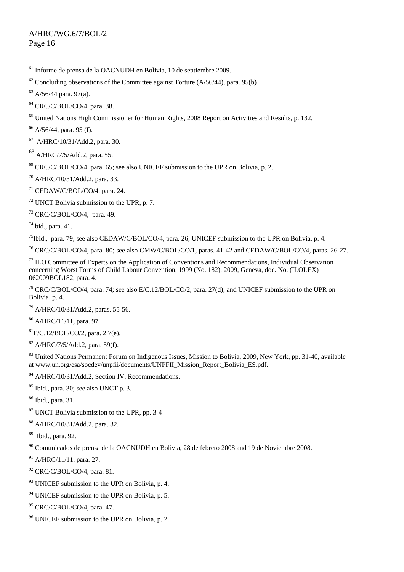61 Informe de prensa de la OACNUDH en Bolivia, 10 de septiembre 2009.

 $62$  Concluding observations of the Committee against Torture (A/56/44), para. 95(b)

 $63$  A/56/44 para. 97(a).

64 CRC/C/BOL/CO/4, para. 38.

<sup>65</sup> United Nations High Commissioner for Human Rights, 2008 Report on Activities and Results, p. 132.

 $66$  A/56/44, para. 95 (f).

67 A/HRC/10/31/Add.2, para. 30.

68 A/HRC/7/5/Add.2, para. 55.

 $69$  CRC/C/BOL/CO/4, para. 65; see also UNICEF submission to the UPR on Bolivia, p. 2.

70 A/HRC/10/31/Add.2, para. 33.

 $71$  CEDAW/C/BOL/CO/4, para. 24.

 $72$  UNCT Bolivia submission to the UPR, p. 7.

 $73$  CRC/C/BOL/CO/4, para. 49.

 $74$  bid., para. 41.

 $^{75}$ Ibid., para. 79; see also CEDAW/C/BOL/CO/4, para. 26; UNICEF submission to the UPR on Bolivia, p. 4.

76 CRC/C/BOL/CO/4, para. 80; see also CMW/C/BOL/CO/1, paras. 41-42 and CEDAW/C/BOL/CO/4, paras. 26-27.

77 ILO Committee of Experts on the Application of Conventions and Recommendations, Individual Observation concerning Worst Forms of Child Labour Convention, 1999 (No. 182), 2009, Geneva, doc. No. (ILOLEX) 062009BOL182, para. 4.

<sup>78</sup> CRC/C/BOL/CO/4, para. 74; see also E/C.12/BOL/CO/2, para. 27(d); and UNICEF submission to the UPR on Bolivia, p. 4.

79 A/HRC/10/31/Add.2, paras. 55-56.

 $80$  A/HRC/11/11, para. 97.

 ${}^{81}E/C.12/BOL/CO/2$ , para. 2 7(e).

 $82$  A/HRC/7/5/Add.2, para. 59(f).

<sup>83</sup> United Nations Permanent Forum on Indigenous Issues, Mission to Bolivia, 2009, New York, pp. 31-40, available at www.un.org/esa/socdev/unpfii/documents/UNPFII\_Mission\_Report\_Bolivia\_ES.pdf.

84 A/HRC/10/31/Add.2, Section IV. Recommendations.

85 Ibid., para. 30; see also UNCT p. 3.

86 Ibid., para. 31.

87 UNCT Bolivia submission to the UPR, pp. 3-4

88 A/HRC/10/31/Add.2, para. 32.

89 Ibid., para. 92.

90 Comunicados de prensa de la OACNUDH en Bolivia, 28 de febrero 2008 and 19 de Noviembre 2008.

 $91$  A/HRC/11/11, para. 27.

 $92$  CRC/C/BOL/CO/4, para. 81.

 $93$  UNICEF submission to the UPR on Bolivia, p. 4.

 $94$  UNICEF submission to the UPR on Bolivia, p. 5.

95 CRC/C/BOL/CO/4, para. 47.

96 UNICEF submission to the UPR on Bolivia, p. 2.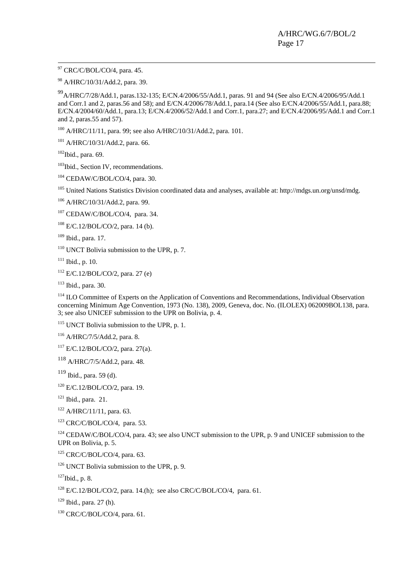<sup>97</sup> CRC/C/BOL/CO/4, para. 45.

98 A/HRC/10/31/Add.2, para. 39.

99A/HRC/7/28/Add.1, paras.132-135; E/CN.4/2006/55/Add.1, paras. 91 and 94 (See also E/CN.4/2006/95/Add.1 and Corr.1 and 2, paras.56 and 58); and E/CN.4/2006/78/Add.1, para.14 (See also E/CN.4/2006/55/Add.1, para.88; E/CN.4/2004/60/Add.1, para.13; E/CN.4/2006/52/Add.1 and Corr.1, para.27; and E/CN.4/2006/95/Add.1 and Corr.1 and 2, paras.55 and 57).

<sup>100</sup> A/HRC/11/11, para. 99; see also A/HRC/10/31/Add.2, para. 101.

101 A/HRC/10/31/Add.2, para. 66.

 $102$ Ibid., para. 69.

<sup>103</sup>Ibid., Section IV, recommendations.

 $104$  CEDAW/C/BOL/CO/4, para. 30.

<sup>105</sup> United Nations Statistics Division coordinated data and analyses, available at: http://mdgs.un.org/unsd/mdg.

106 A/HRC/10/31/Add.2, para. 99.

<sup>107</sup> CEDAW/C/BOL/CO/4, para. 34.

 $108$  E/C.12/BOL/CO/2, para. 14 (b).

109 Ibid., para. 17.

 $110$  UNCT Bolivia submission to the UPR, p. 7.

 $111$  Ibid., p. 10.

 $112$  E/C.12/BOL/CO/2, para. 27 (e)

113 Ibid., para. 30.

<sup>114</sup> ILO Committee of Experts on the Application of Conventions and Recommendations, Individual Observation concerning Minimum Age Convention, 1973 (No. 138), 2009, Geneva, doc. No. (ILOLEX) 062009BOL138, para. 3; see also UNICEF submission to the UPR on Bolivia, p. 4.

<sup>115</sup> UNCT Bolivia submission to the UPR, p. 1.

116 A/HRC/7/5/Add.2, para. 8.

 $117$  E/C.12/BOL/CO/2, para. 27(a).

 $118$  A/HRC/7/5/Add.2, para. 48.

 $119$  Ibid., para. 59 (d).

120 E/C.12/BOL/CO/2, para. 19.

 $121$  Ibid., para. 21.

<sup>122</sup> A/HRC/11/11, para. 63.

 $123$  CRC/C/BOL/CO/4, para. 53.

<sup>124</sup> CEDAW/C/BOL/CO/4, para. 43; see also UNCT submission to the UPR, p. 9 and UNICEF submission to the UPR on Bolivia, p. 5.

 $125$  CRC/C/BOL/CO/4, para. 63.

<sup>126</sup> UNCT Bolivia submission to the UPR, p. 9.

 $127$ Ibid., p. 8.

 $128$  E/C.12/BOL/CO/2, para. 14.(h); see also CRC/C/BOL/CO/4, para. 61.

 $129$  Ibid., para. 27 (h).

130 CRC/C/BOL/CO/4, para. 61.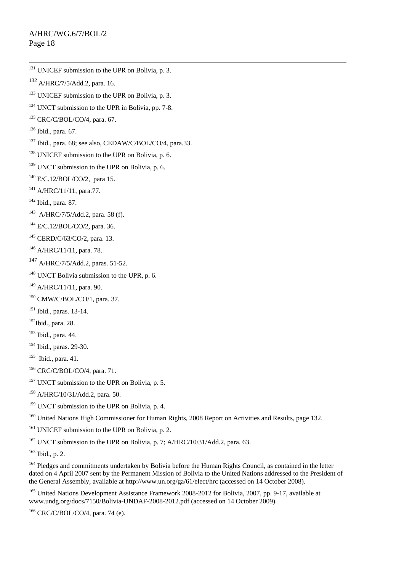$132$  A/HRC/7/5/Add.2, para. 16.  $133$  UNICEF submission to the UPR on Bolivia, p. 3. <sup>134</sup> UNCT submission to the UPR in Bolivia, pp. 7-8.  $135$  CRC/C/BOL/CO/4, para. 67. 136 Ibid., para. 67. 137 Ibid., para. 68; see also, CEDAW/C/BOL/CO/4, para.33. <sup>138</sup> UNICEF submission to the UPR on Bolivia, p. 6.  $139$  UNCT submission to the UPR on Bolivia, p. 6. 140 E/C.12/BOL/CO/2, para 15. 141 A/HRC/11/11, para.77. 142 Ibid., para. 87.  $143$  A/HRC/7/5/Add.2, para. 58 (f). 144 E/C.12/BOL/CO/2, para. 36. 145 CERD/C/63/CO/2, para. 13.

<sup>131</sup> UNICEF submission to the UPR on Bolivia, p. 3.

 $146$  A/HRC/11/11, para. 78.

147 A/HRC/7/5/Add.2, paras. 51-52.

<sup>148</sup> UNCT Bolivia submission to the UPR, p. 6.

 $149$  A/HRC/11/11, para, 90.

150 CMW/C/BOL/CO/1, para. 37.

<sup>151</sup> Ibid., paras. 13-14.

 $152$ Ibid., para. 28.

153 Ibid., para. 44.

154 Ibid., paras. 29-30.

155 Ibid., para. 41.

156 CRC/C/BOL/CO/4, para. 71.

 $157$  UNCT submission to the UPR on Bolivia, p. 5.

158 A/HRC/10/31/Add.2, para. 50.

<sup>159</sup> UNCT submission to the UPR on Bolivia, p. 4.

<sup>160</sup> United Nations High Commissioner for Human Rights, 2008 Report on Activities and Results, page 132.

<sup>161</sup> UNICEF submission to the UPR on Bolivia, p. 2.

<sup>162</sup> UNCT submission to the UPR on Bolivia, p. 7; A/HRC/10/31/Add.2, para. 63.

 $163$  Ibid., p. 2.

<sup>164</sup> Pledges and commitments undertaken by Bolivia before the Human Rights Council, as contained in the letter dated on 4 April 2007 sent by the Permanent Mission of Bolivia to the United Nations addressed to the President of the General Assembly, available at http://www.un.org/ga/61/elect/hrc (accessed on 14 October 2008).

<sup>165</sup> United Nations Development Assistance Framework 2008-2012 for Bolivia, 2007, pp. 9-17, available at www.undg.org/docs/7150/Bolivia-UNDAF-2008-2012.pdf (accessed on 14 October 2009).

166 CRC/C/BOL/CO/4, para. 74 (e).